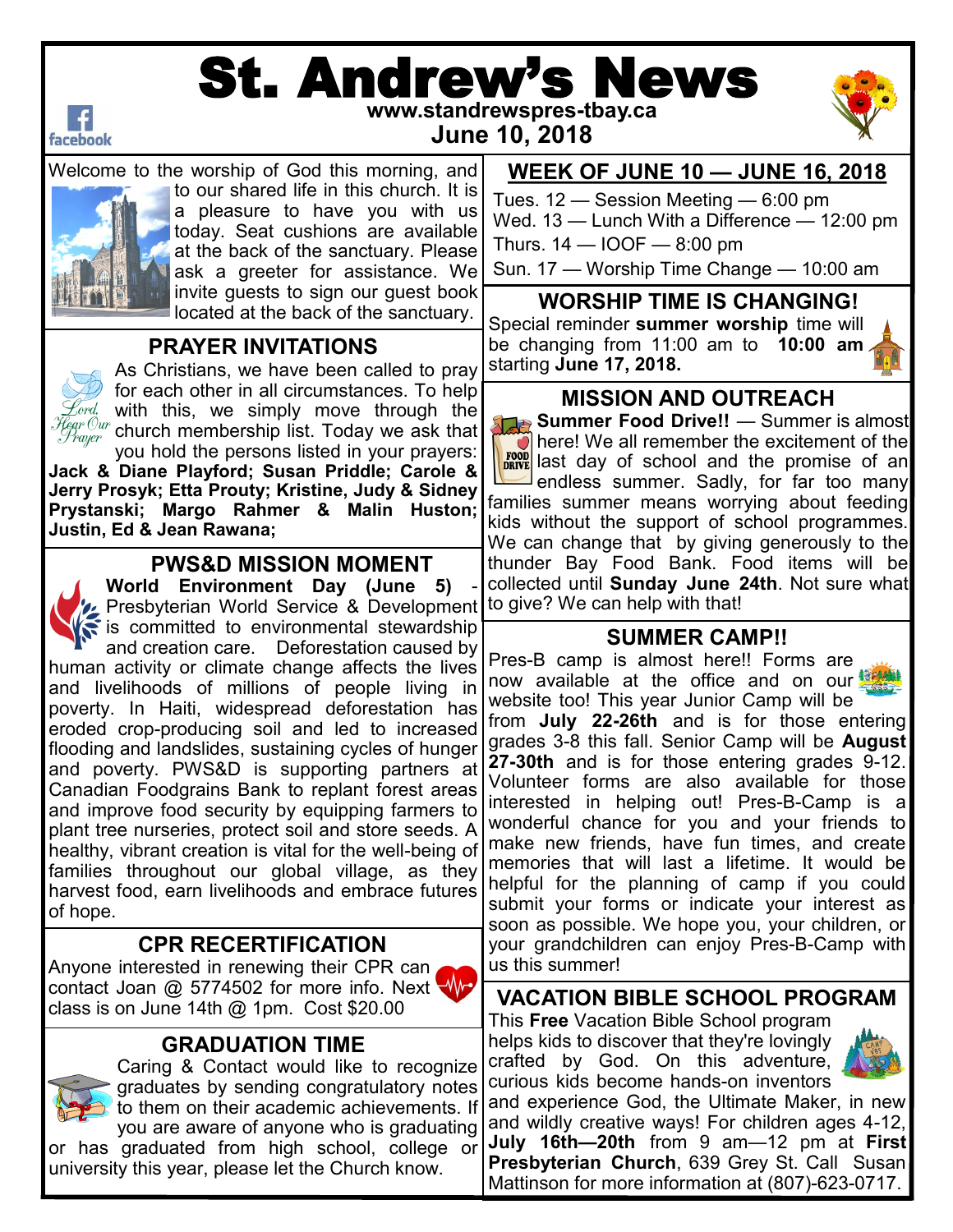

# St. Andrew's News **www.standrewspres-tbay.ca**



**June 10, 2018**

Welcome to the worship of God this morning, and



to our shared life in this church. It is a pleasure to have you with us today. Seat cushions are available at the back of the sanctuary. Please ask a greeter for assistance. We invite guests to sign our guest book located at the back of the sanctuary.

## **PRAYER INVITATIONS**



As Christians, we have been called to pray for each other in all circumstances. To help  $\mathscr{E}$ ord, with this, we simply move through the $|$  $\frac{\ell_{\mathit{ear}} \mathit{Our}}{\mathit{Turner}}$  church membership list. Today we ask that you hold the persons listed in your prayers:

**Jack & Diane Playford; Susan Priddle; Carole & Jerry Prosyk; Etta Prouty; Kristine, Judy & Sidney Prystanski; Margo Rahmer & Malin Huston; Justin, Ed & Jean Rawana;**

### **PWS&D MISSION MOMENT**

**World Environment Day (June 5)** - Presbyterian World Service & Development to give? We can help with that! is committed to environmental stewardship and creation care. Deforestation caused by human activity or climate change affects the lives and livelihoods of millions of people living in poverty. In Haiti, widespread deforestation has eroded crop-producing soil and led to increased flooding and landslides, sustaining cycles of hunger and poverty. PWS&D is supporting partners at Canadian Foodgrains Bank to replant forest areas and improve food security by equipping farmers to plant tree nurseries, protect soil and store seeds. A healthy, vibrant creation is vital for the well-being of families throughout our global village, as they harvest food, earn livelihoods and embrace futures of hope.

### **CPR RECERTIFICATION**

Anyone interested in renewing their CPR can contact Joan @ 5774502 for more info. Next \ class is on June 14th @ 1pm. Cost \$20.00

### **GRADUATION TIME**



Caring & Contact would like to recognize graduates by sending congratulatory notes to them on their academic achievements. If you are aware of anyone who is graduating or has graduated from high school, college or

university this year, please let the Church know.

### **WEEK OF JUNE 10 — JUNE 16, 2018**

Tues. 12 — Session Meeting — 6:00 pm Wed. 13 — Lunch With a Difference — 12:00 pm Thurs.  $14 - 100F - 8:00$  pm

Sun. 17 — Worship Time Change — 10:00 am

**WORSHIP TIME IS CHANGING!**

Special reminder **summer worship** time will be changing from 11:00 am to **10:00 am**  starting **June 17, 2018.** 



### **MISSION AND OUTREACH**

**Summer Food Drive!!** — Summer is almost here! We all remember the excitement of the **ROOD** last day of school and the promise of an <sup>J</sup>endless summer. Sadly, for far too many families summer means worrying about feeding kids without the support of school programmes. We can change that by giving generously to the thunder Bay Food Bank. Food items will be collected until **Sunday June 24th**. Not sure what

### **SUMMER CAMP!!**

Pres-B camp is almost here!! Forms are now available at the office and on our **螺** website too! This year Junior Camp will be from **July 22-26th** and is for those entering grades 3-8 this fall. Senior Camp will be **August 27-30th** and is for those entering grades 9-12. Volunteer forms are also available for those interested in helping out! Pres-B-Camp is a wonderful chance for you and your friends to make new friends, have fun times, and create memories that will last a lifetime. It would be helpful for the planning of camp if you could submit your forms or indicate your interest as soon as possible. We hope you, your children, or your grandchildren can enjoy Pres-B-Camp with us this summer!

**VACATION BIBLE SCHOOL PROGRAM**

This **Free** Vacation Bible School program helps kids to discover that they're lovingly crafted by God. On this adventure, curious kids become hands-on inventors



and experience God, the Ultimate Maker, in new and wildly creative ways! For children ages 4-12, **July 16th—20th** from 9 am—12 pm at **First Presbyterian Church**, 639 Grey St. Call Susan Mattinson for more information at (807)-623-0717.